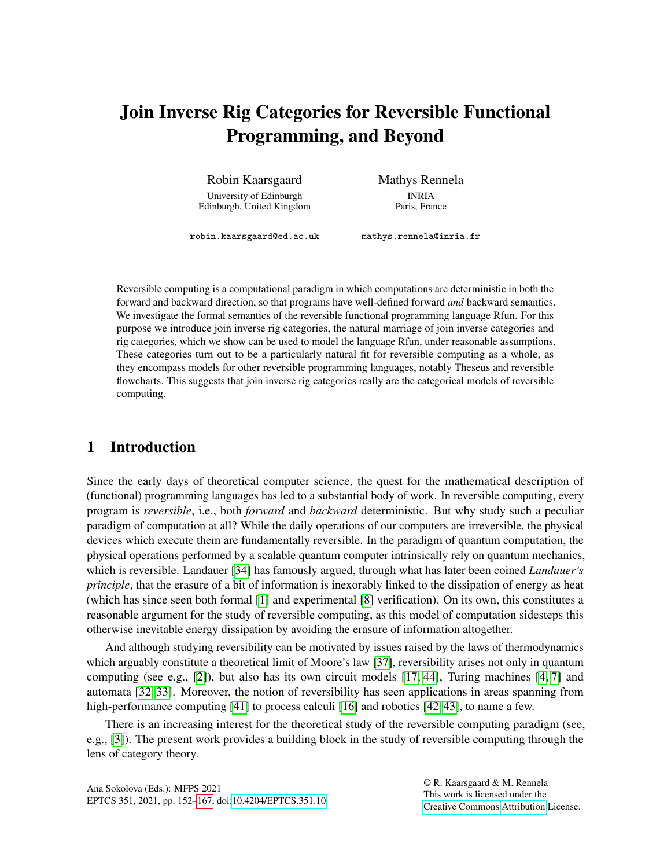# Join Inverse Rig Categories for Reversible Functional Programming, and Beyond

Robin Kaarsgaard

University of Edinburgh Edinburgh, United Kingdom Mathys Rennela INRIA Paris, France

robin.kaarsgaard@ed.ac.uk

mathys.rennela@inria.fr

Reversible computing is a computational paradigm in which computations are deterministic in both the forward and backward direction, so that programs have well-defined forward *and* backward semantics. We investigate the formal semantics of the reversible functional programming language Rfun. For this purpose we introduce join inverse rig categories, the natural marriage of join inverse categories and rig categories, which we show can be used to model the language Rfun, under reasonable assumptions. These categories turn out to be a particularly natural fit for reversible computing as a whole, as they encompass models for other reversible programming languages, notably Theseus and reversible flowcharts. This suggests that join inverse rig categories really are the categorical models of reversible computing.

## 1 Introduction

Since the early days of theoretical computer science, the quest for the mathematical description of (functional) programming languages has led to a substantial body of work. In reversible computing, every program is *reversible*, i.e., both *forward* and *backward* deterministic. But why study such a peculiar paradigm of computation at all? While the daily operations of our computers are irreversible, the physical devices which execute them are fundamentally reversible. In the paradigm of quantum computation, the physical operations performed by a scalable quantum computer intrinsically rely on quantum mechanics, which is reversible. Landauer [\[34\]](#page-15-1) has famously argued, through what has later been coined *Landauer's principle*, that the erasure of a bit of information is inexorably linked to the dissipation of energy as heat (which has since seen both formal [\[1\]](#page-13-0) and experimental [\[8\]](#page-13-1) verification). On its own, this constitutes a reasonable argument for the study of reversible computing, as this model of computation sidesteps this otherwise inevitable energy dissipation by avoiding the erasure of information altogether.

And although studying reversibility can be motivated by issues raised by the laws of thermodynamics which arguably constitute a theoretical limit of Moore's law [\[37\]](#page-15-2), reversibility arises not only in quantum computing (see e.g., [\[2\]](#page-13-2)), but also has its own circuit models [\[17,](#page-14-0) [44\]](#page-15-3), Turing machines [\[4,](#page-13-3) [7\]](#page-13-4) and automata [\[32,](#page-14-1) [33\]](#page-15-4). Moreover, the notion of reversibility has seen applications in areas spanning from high-performance computing [\[41\]](#page-15-5) to process calculi [\[16\]](#page-14-2) and robotics [\[42,](#page-15-6) [43\]](#page-15-7), to name a few.

There is an increasing interest for the theoretical study of the reversible computing paradigm (see, e.g., [\[3\]](#page-13-5)). The present work provides a building block in the study of reversible computing through the lens of category theory.

© R. Kaarsgaard & M. Rennela This work is licensed under the [Creative Commons](https://creativecommons.org) [Attribution](https://creativecommons.org/licenses/by/4.0/) License.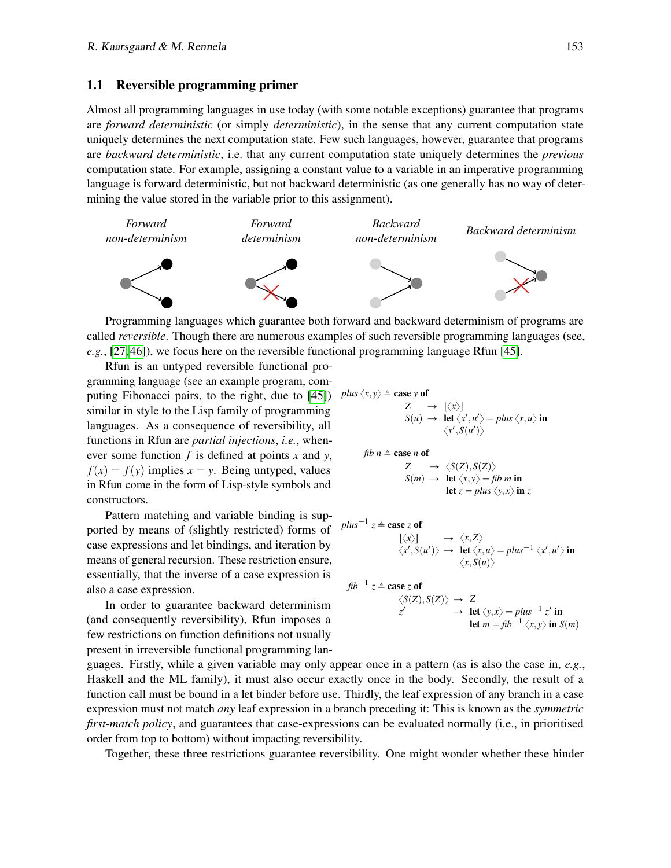#### 1.1 Reversible programming primer

Almost all programming languages in use today (with some notable exceptions) guarantee that programs are *forward deterministic* (or simply *deterministic*), in the sense that any current computation state uniquely determines the next computation state. Few such languages, however, guarantee that programs are *backward deterministic*, i.e. that any current computation state uniquely determines the *previous* computation state. For example, assigning a constant value to a variable in an imperative programming language is forward deterministic, but not backward deterministic (as one generally has no way of determining the value stored in the variable prior to this assignment).



Programming languages which guarantee both forward and backward determinism of programs are called *reversible*. Though there are numerous examples of such reversible programming languages (see, *e.g.*, [\[27,](#page-14-3) [46\]](#page-15-8)), we focus here on the reversible functional programming language Rfun [\[45\]](#page-15-9).

Rfun is an untyped reversible functional programming language (see an example program, com-puting Fibonacci pairs, to the right, due to [\[45\]](#page-15-9))  $P$ similar in style to the Lisp family of programming languages. As a consequence of reversibility, all functions in Rfun are *partial injections*, *i.e.*, whenever some function *f* is defined at points *x* and *y*,  $f(x) = f(y)$  implies  $x = y$ . Being untyped, values in Rfun come in the form of Lisp-style symbols and constructors.

Pattern matching and variable binding is supported by means of (slightly restricted) forms of case expressions and let bindings, and iteration by means of general recursion. These restriction ensure, essentially, that the inverse of a case expression is also a case expression.

In order to guarantee backward determinism (and consequently reversibility), Rfun imposes a few restrictions on function definitions not usually present in irreversible functional programming lan-

plus 
$$
\langle x, y \rangle \triangleq
$$
 case y of  
\n
$$
Z \rightarrow [\langle x \rangle]
$$
\n
$$
S(u) \rightarrow \text{let } \langle x', u' \rangle = \text{plus } \langle x, u \rangle \text{ in}
$$
\n
$$
\langle x', S(u') \rangle
$$
\n
$$
\text{fib } n \triangleq \text{case } n \text{ of}
$$
\n
$$
Z \rightarrow \langle S(Z), S(Z) \rangle
$$
\n
$$
S(m) \rightarrow \text{let } \langle x, y \rangle = \text{fib } m \text{ in}
$$
\n
$$
\text{let } z = \text{plus } \langle y, x \rangle \text{ in } z
$$

$$
plus^{-1} z \triangleq \text{case } z \text{ of}
$$
  

$$
\langle x \rangle \rangle \rightarrow \langle x, Z \rangle
$$
  

$$
\langle x', S(u') \rangle \rightarrow \text{let } \langle x, u \rangle = plus^{-1} \langle x', u' \rangle \text{ in}
$$
  

$$
\langle x, S(u) \rangle
$$

$$
fib^{-1} z \triangleq \text{case } z \text{ of}
$$
  
\n
$$
\langle S(Z), S(Z) \rangle \rightarrow Z
$$
  
\n
$$
z' \rightarrow \text{let } \langle y, x \rangle = plus^{-1} z' \text{ in}
$$
  
\nlet  $m = fib^{-1} \langle x, y \rangle \text{ in } S(m)$ 

guages. Firstly, while a given variable may only appear once in a pattern (as is also the case in, *e.g.*, Haskell and the ML family), it must also occur exactly once in the body. Secondly, the result of a function call must be bound in a let binder before use. Thirdly, the leaf expression of any branch in a case expression must not match *any* leaf expression in a branch preceding it: This is known as the *symmetric first-match policy*, and guarantees that case-expressions can be evaluated normally (i.e., in prioritised order from top to bottom) without impacting reversibility.

Together, these three restrictions guarantee reversibility. One might wonder whether these hinder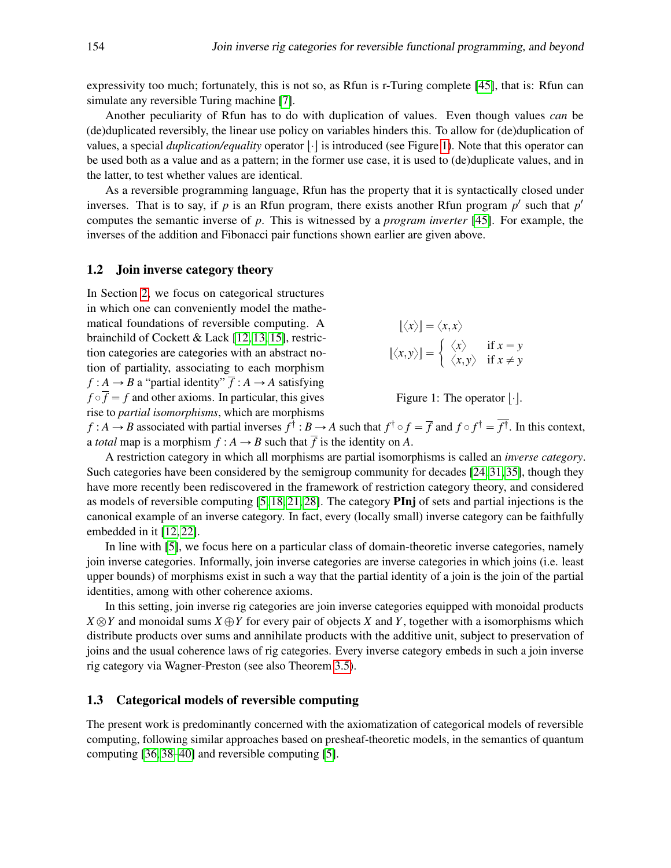expressivity too much; fortunately, this is not so, as Rfun is r-Turing complete [\[45\]](#page-15-9), that is: Rfun can simulate any reversible Turing machine [\[7\]](#page-13-4).

Another peculiarity of Rfun has to do with duplication of values. Even though values *can* be (de)duplicated reversibly, the linear use policy on variables hinders this. To allow for (de)duplication of values, a special *duplication/equality* operator  $|\cdot|$  is introduced (see Figure [1\)](#page-2-0). Note that this operator can be used both as a value and as a pattern; in the former use case, it is used to (de)duplicate values, and in the latter, to test whether values are identical.

As a reversible programming language, Rfun has the property that it is syntactically closed under inverses. That is to say, if  $p$  is an Rfun program, there exists another Rfun program  $p'$  such that  $p'$ computes the semantic inverse of *p*. This is witnessed by a *program inverter* [\[45\]](#page-15-9). For example, the inverses of the addition and Fibonacci pair functions shown earlier are given above.

#### 1.2 Join inverse category theory

In Section [2,](#page-3-0) we focus on categorical structures in which one can conveniently model the mathematical foundations of reversible computing. A brainchild of Cockett & Lack [\[12,](#page-14-4) [13,](#page-14-5) [15\]](#page-14-6), restriction categories are categories with an abstract notion of partiality, associating to each morphism  $f : A \rightarrow B$  a "partial identity"  $\overline{f} : A \rightarrow A$  satisfying  $f \circ \overline{f} = f$  and other axioms. In particular, this gives rise to *partial isomorphisms*, which are morphisms

<span id="page-2-0"></span>
$$
\begin{aligned}\n\lfloor \langle x \rangle \rfloor &= \langle x, x \rangle \\
\lfloor \langle x, y \rangle \rfloor &= \begin{cases}\n\langle x \rangle & \text{if } x = y \\
\langle x, y \rangle & \text{if } x \neq y\n\end{cases}\n\end{aligned}
$$

Figure 1: The operator  $|\cdot|$ .

 $f : A \to B$  associated with partial inverses  $f^{\dagger} : B \to A$  such that  $f^{\dagger} \circ f = \overline{f}$  and  $f \circ f^{\dagger} = f^{\dagger}$ . In this context, a *total* map is a morphism  $f : A \rightarrow B$  such that  $\overline{f}$  is the identity on A.

A restriction category in which all morphisms are partial isomorphisms is called an *inverse category*. Such categories have been considered by the semigroup community for decades [\[24,](#page-14-7) [31,](#page-14-8) [35\]](#page-15-10), though they have more recently been rediscovered in the framework of restriction category theory, and considered as models of reversible computing [\[5,](#page-13-6) [18,](#page-14-9) [21,](#page-14-10) [28\]](#page-14-11). The category PInj of sets and partial injections is the canonical example of an inverse category. In fact, every (locally small) inverse category can be faithfully embedded in it [\[12,](#page-14-4) [22\]](#page-14-12).

In line with [\[5\]](#page-13-6), we focus here on a particular class of domain-theoretic inverse categories, namely join inverse categories. Informally, join inverse categories are inverse categories in which joins (i.e. least upper bounds) of morphisms exist in such a way that the partial identity of a join is the join of the partial identities, among with other coherence axioms.

In this setting, join inverse rig categories are join inverse categories equipped with monoidal products  $X \otimes Y$  and monoidal sums  $X \oplus Y$  for every pair of objects *X* and *Y*, together with a isomorphisms which distribute products over sums and annihilate products with the additive unit, subject to preservation of joins and the usual coherence laws of rig categories. Every inverse category embeds in such a join inverse rig category via Wagner-Preston (see also Theorem [3.5\)](#page-6-0).

### 1.3 Categorical models of reversible computing

The present work is predominantly concerned with the axiomatization of categorical models of reversible computing, following similar approaches based on presheaf-theoretic models, in the semantics of quantum computing [\[36,](#page-15-11) [38–](#page-15-12)[40\]](#page-15-13) and reversible computing [\[5\]](#page-13-6).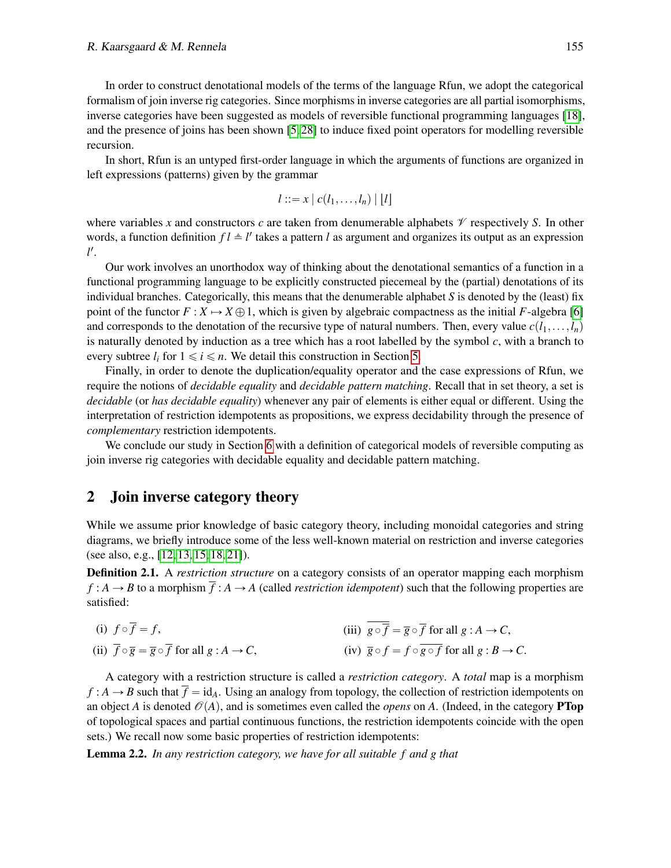In order to construct denotational models of the terms of the language Rfun, we adopt the categorical formalism of join inverse rig categories. Since morphisms in inverse categories are all partial isomorphisms, inverse categories have been suggested as models of reversible functional programming languages [\[18\]](#page-14-9), and the presence of joins has been shown [\[5,](#page-13-6) [28\]](#page-14-11) to induce fixed point operators for modelling reversible recursion.

In short, Rfun is an untyped first-order language in which the arguments of functions are organized in left expressions (patterns) given by the grammar

$$
l ::= x \mid c(l_1, \ldots, l_n) \mid [l]
$$

where variables x and constructors c are taken from denumerable alphabets  $\mathcal V$  respectively S. In other words, a function definition  $fl \triangleq l'$  takes a pattern *l* as argument and organizes its output as an expression *l* 1 .

Our work involves an unorthodox way of thinking about the denotational semantics of a function in a functional programming language to be explicitly constructed piecemeal by the (partial) denotations of its individual branches. Categorically, this means that the denumerable alphabet *S* is denoted by the (least) fix point of the functor  $F : X \to X \oplus 1$ , which is given by algebraic compactness as the initial *F*-algebra [\[6\]](#page-13-7) and corresponds to the denotation of the recursive type of natural numbers. Then, every value  $c(l_1,...,l_n)$ is naturally denoted by induction as a tree which has a root labelled by the symbol *c*, with a branch to every subtree  $l_i$  for  $1 \le i \le n$ . We detail this construction in Section [5.](#page-8-0)

Finally, in order to denote the duplication/equality operator and the case expressions of Rfun, we require the notions of *decidable equality* and *decidable pattern matching*. Recall that in set theory, a set is *decidable* (or *has decidable equality*) whenever any pair of elements is either equal or different. Using the interpretation of restriction idempotents as propositions, we express decidability through the presence of *complementary* restriction idempotents.

We conclude our study in Section [6](#page-12-0) with a definition of categorical models of reversible computing as join inverse rig categories with decidable equality and decidable pattern matching.

## <span id="page-3-0"></span>2 Join inverse category theory

While we assume prior knowledge of basic category theory, including monoidal categories and string diagrams, we briefly introduce some of the less well-known material on restriction and inverse categories (see also, e.g., [\[12,](#page-14-4) [13,](#page-14-5) [15,](#page-14-6) [18,](#page-14-9) [21\]](#page-14-10)).

Definition 2.1. A *restriction structure* on a category consists of an operator mapping each morphism  $f : A \to B$  to a morphism  $\overline{f} : A \to A$  (called *restriction idempotent*) such that the following properties are satisfied:

(i) 
$$
f \circ \overline{f} = f
$$
, (ii)  $\overline{f} \circ \overline{g} = \overline{g} \circ \overline{f}$  for all  $g : A \to C$ ,  
(iii)  $\overline{g} \circ \overline{f} = \overline{g} \circ \overline{f}$  for all  $g : A \to C$ ,  
(iv)  $\overline{g} \circ f = f \circ \overline{g \circ f}$  for all  $g : B \to C$ .

A category with a restriction structure is called a *restriction category*. A *total* map is a morphism  $f : A \rightarrow B$  such that  $f = id_A$ . Using an analogy from topology, the collection of restriction idempotents on an object *A* is denoted  $\mathcal{O}(A)$ , and is sometimes even called the *opens* on *A*. (Indeed, in the category **PTop** of topological spaces and partial continuous functions, the restriction idempotents coincide with the open sets.) We recall now some basic properties of restriction idempotents:

Lemma 2.2. *In any restriction category, we have for all suitable f and g that*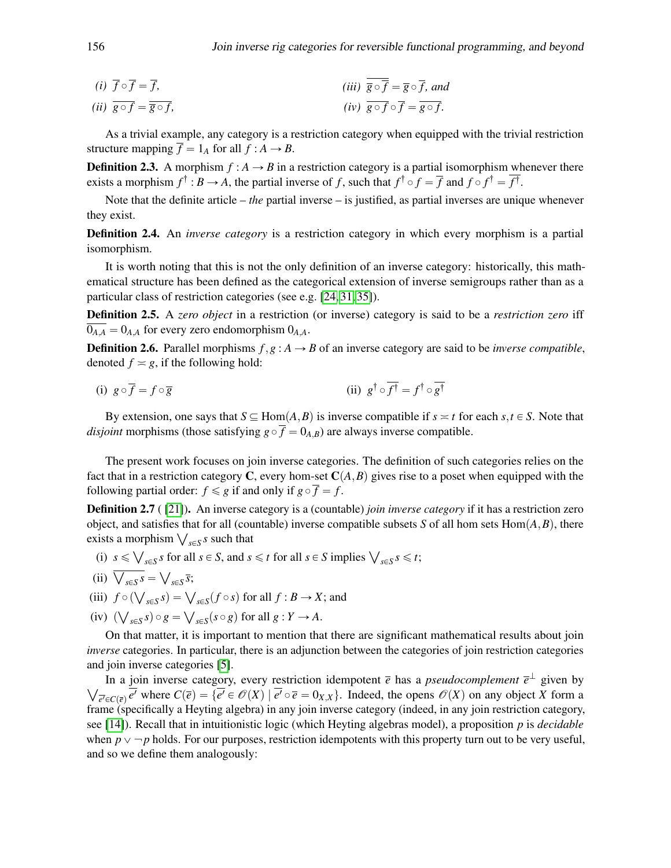(i) 
$$
\overline{f} \circ \overline{f} = \overline{f}
$$
,  
\n(ii)  $\overline{g} \circ \overline{f} = \overline{g} \circ \overline{f}$ , and  
\n(ii)  $\overline{g} \circ \overline{f} = \overline{g} \circ \overline{f}$ ,  
\n(iv)  $\overline{g} \circ \overline{f} = \overline{g} \circ \overline{f}$ .

As a trivial example, any category is a restriction category when equipped with the trivial restriction structure mapping  $\overline{f} = 1_A$  for all  $f : A \rightarrow B$ .

**Definition 2.3.** A morphism  $f : A \rightarrow B$  in a restriction category is a partial isomorphism whenever there exists a morphism  $f^{\dagger}$  :  $B \to A$ , the partial inverse of f, such that  $f^{\dagger} \circ f = \overline{f}$  and  $f \circ f^{\dagger} = f^{\dagger}$ .

Note that the definite article – *the* partial inverse – is justified, as partial inverses are unique whenever they exist.

Definition 2.4. An *inverse category* is a restriction category in which every morphism is a partial isomorphism.

It is worth noting that this is not the only definition of an inverse category: historically, this mathematical structure has been defined as the categorical extension of inverse semigroups rather than as a particular class of restriction categories (see e.g. [\[24,](#page-14-7) [31,](#page-14-8) [35\]](#page-15-10)).

Definition 2.5. A *zero object* in a restriction (or inverse) category is said to be a *restriction zero* iff  $\overline{0_{A,A}} = 0_{A,A}$  for every zero endomorphism  $0_{A,A}$ .

**Definition 2.6.** Parallel morphisms  $f, g: A \rightarrow B$  of an inverse category are said to be *inverse compatible*, denoted  $f \approx g$ , if the following hold:

(i) 
$$
g \circ \overline{f} = f \circ \overline{g}
$$
 (ii)  $g^{\dagger} \circ f^{\dagger} = f^{\dagger} \circ g^{\dagger}$ 

By extension, one says that  $S \subseteq Hom(A, B)$  is inverse compatible if  $s \asymp t$  for each  $s, t \in S$ . Note that *disjoint* morphisms (those satisfying  $g \circ \overline{f} = 0_{A,B}$ ) are always inverse compatible.

The present work focuses on join inverse categories. The definition of such categories relies on the fact that in a restriction category C, every hom-set  $C(A, B)$  gives rise to a poset when equipped with the following partial order:  $f \le g$  if and only if  $g \circ \overline{f} = f$ .

**Definition 2.7** ([\[21\]](#page-14-10)). An inverse category is a (countable) *join inverse category* if it has a restriction zero object, and satisfies that for all (countable) inverse compatible subsets *S* of all hom sets  $Hom(A, B)$ , there object, and satisfies that for all (counsists a morphism  $\bigvee_{s \in S} s$  such that

(i) 
$$
s \leq \bigvee_{s \in S} s
$$
 for all  $s \in S$ , and  $s \leq t$  for all  $s \in S$  implies  $\bigvee_{s \in S} s \leq t$ ;

- (ii)  $\overline{\bigvee_{s \in S} s} =$  $s \in S^{\overline{S}}$
- (iii)  $f \circ (\bigvee_{s \in S} s) = \bigvee_{s \in S} (f \circ s)$  for all  $f : B \to X$ ; and Ž
- $(iv)$  (  $(g \in S) \circ g =$  $s \in S$  ( $s \circ g$ ) for all  $g: Y \to A$ .

On that matter, it is important to mention that there are significant mathematical results about join *inverse* categories. In particular, there is an adjunction between the categories of join restriction categories and join inverse categories [\[5\]](#page-13-6).

In a join inverse category, every restriction idempotent  $\bar{e}$  has a *pseudocomplement*  $\bar{e}^{\perp}$  given by  $\overline{e'}\in C(\overline{e})$  *e'* where  $C(\overline{e}) = \{e' \in \mathcal{O}(X) \mid e' \circ \overline{e} = 0_{X,X}\}$ . Indeed, the opens  $\mathcal{O}(X)$  on any object *X* form a frame (specifically a Heyting algebra) in any join inverse category (indeed, in any join restriction category, see [\[14\]](#page-14-13)). Recall that in intuitionistic logic (which Heyting algebras model), a proposition *p* is *decidable* when  $p \vee \neg p$  holds. For our purposes, restriction idempotents with this property turn out to be very useful, and so we define them analogously: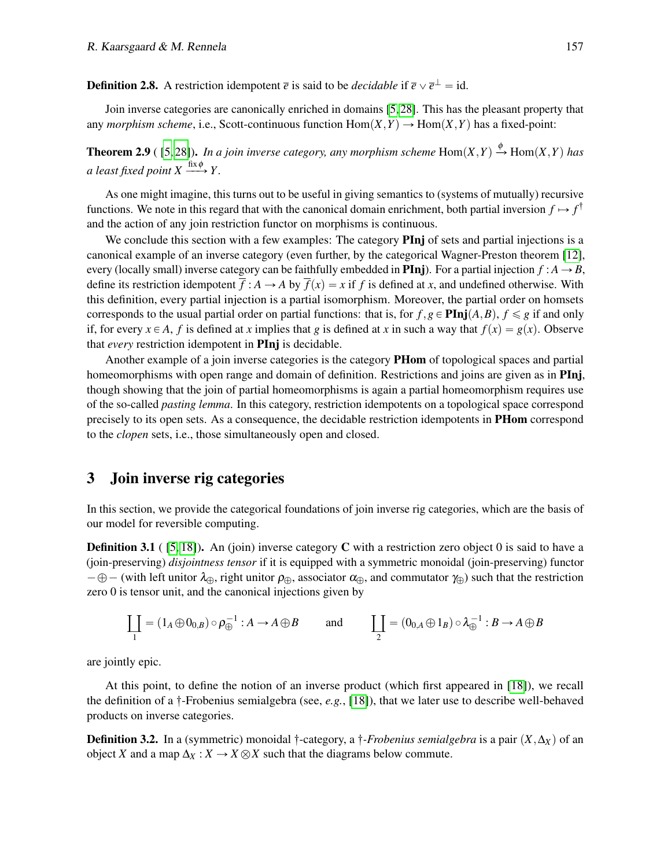**Definition 2.8.** A restriction idempotent  $\overline{e}$  is said to be *decidable* if  $\overline{e} \vee \overline{e}^{\perp} = id$ .

Join inverse categories are canonically enriched in domains [\[5,](#page-13-6) [28\]](#page-14-11). This has the pleasant property that any *morphism scheme*, i.e., Scott-continuous function  $Hom(X, Y) \to Hom(X, Y)$  has a fixed-point:

**Theorem 2.9** ( [\[5,](#page-13-6)28]). In a join inverse category, any morphism scheme Hom $(X, Y) \xrightarrow{\phi} \text{Hom}(X, Y)$  has *a least fixed point*  $X \xrightarrow{\text{fix }\phi} Y$ .

As one might imagine, this turns out to be useful in giving semantics to (systems of mutually) recursive functions. We note in this regard that with the canonical domain enrichment, both partial inversion  $f \mapsto f^{\dagger}$ and the action of any join restriction functor on morphisms is continuous.

We conclude this section with a few examples: The category **PInj** of sets and partial injections is a canonical example of an inverse category (even further, by the categorical Wagner-Preston theorem [\[12\]](#page-14-4), every (locally small) inverse category can be faithfully embedded in **PInj**). For a partial injection  $f : A \rightarrow B$ , define its restriction idempotent  $\overline{f}$  :  $A \rightarrow A$  by  $\overline{f}(x) = x$  if f is defined at x, and undefined otherwise. With this definition, every partial injection is a partial isomorphism. Moreover, the partial order on homsets corresponds to the usual partial order on partial functions: that is, for  $f, g \in \text{Pin}(A, B)$ ,  $f \le g$  if and only if, for every  $x \in A$ , *f* is defined at *x* implies that *g* is defined at *x* in such a way that  $f(x) = g(x)$ . Observe that *every* restriction idempotent in PInj is decidable.

Another example of a join inverse categories is the category PHom of topological spaces and partial homeomorphisms with open range and domain of definition. Restrictions and joins are given as in **PInj**, though showing that the join of partial homeomorphisms is again a partial homeomorphism requires use of the so-called *pasting lemma*. In this category, restriction idempotents on a topological space correspond precisely to its open sets. As a consequence, the decidable restriction idempotents in PHom correspond to the *clopen* sets, i.e., those simultaneously open and closed.

# <span id="page-5-0"></span>3 Join inverse rig categories

In this section, we provide the categorical foundations of join inverse rig categories, which are the basis of our model for reversible computing.

**Definition 3.1** ( $[5, 18]$  $[5, 18]$ ). An (join) inverse category C with a restriction zero object 0 is said to have a (join-preserving) *disjointness tensor* if it is equipped with a symmetric monoidal (join-preserving) functor  $-\oplus$  – (with left unitor  $\lambda_{\oplus}$ , right unitor  $\rho_{\oplus}$ , associator  $\alpha_{\oplus}$ , and commutator  $\gamma_{\oplus}$ ) such that the restriction zero 0 is tensor unit, and the canonical injections given by

$$
\coprod_{1} = (1_A \oplus 0_{0,B}) \circ \rho_{\oplus}^{-1} : A \to A \oplus B \quad \text{and} \quad \coprod_{2} = (0_{0,A} \oplus 1_B) \circ \lambda_{\oplus}^{-1} : B \to A \oplus B
$$

are jointly epic.

At this point, to define the notion of an inverse product (which first appeared in [\[18\]](#page-14-9)), we recall the definition of a  $\dagger$ -Frobenius semialgebra (see, *e.g.*, [\[18\]](#page-14-9)), that we later use to describe well-behaved products on inverse categories.

**Definition 3.2.** In a (symmetric) monoidal  $\dagger$ -category, a  $\dagger$ *-Frobenius semialgebra* is a pair  $(X, \Delta_X)$  of an object *X* and a map  $\Delta_X : X \to X \otimes X$  such that the diagrams below commute.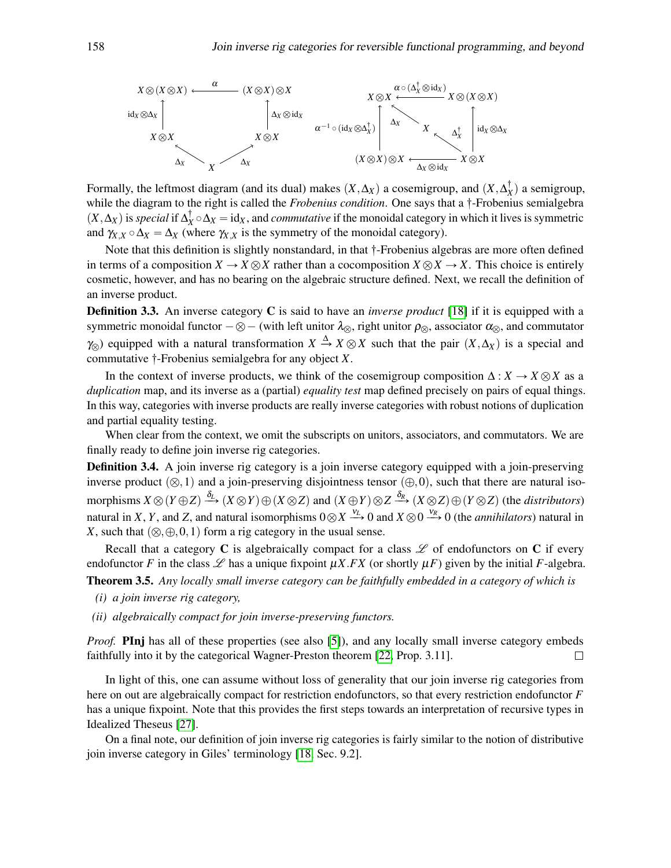

Formally, the leftmost diagram (and its dual) makes  $(X, \Delta_X)$  a cosemigroup, and  $(X, \Delta_X^{\dagger})$  a semigroup, while the diagram to the right is called the *Frobenius condition*. One says that a  $\dagger$ -Frobenius semialgebra  $(X, \Delta_X)$  is *special* if  $\Delta_X^{\dagger} \circ \Delta_X = id_X$ , and *commutative* if the monoidal category in which it lives is symmetric and  $\gamma_{X,X} \circ \Delta_X = \Delta_X$  (where  $\gamma_{X,X}$  is the symmetry of the monoidal category).

Note that this definition is slightly nonstandard, in that  $\dagger$ -Frobenius algebras are more often defined in terms of a composition  $X \to X \otimes X$  rather than a cocomposition  $X \otimes X \to X$ . This choice is entirely cosmetic, however, and has no bearing on the algebraic structure defined. Next, we recall the definition of an inverse product.

Definition 3.3. An inverse category C is said to have an *inverse product* [\[18\]](#page-14-9) if it is equipped with a symmetric monoidal functor  $-\otimes -$  (with left unitor  $\lambda_{\otimes}$ , right unitor  $\rho_{\otimes}$ , associator  $\alpha_{\otimes}$ , and commutator  $\gamma_{\otimes}$ ) equipped with a natural transformation  $X \stackrel{\Delta}{\rightarrow} X \otimes X$  such that the pair  $(X, \Delta_X)$  is a special and commutative  $\dagger$ -Frobenius semialgebra for any object *X*.

In the context of inverse products, we think of the cosemigroup composition  $\Delta: X \to X \otimes X$  as a *duplication* map, and its inverse as a (partial) *equality test* map defined precisely on pairs of equal things. In this way, categories with inverse products are really inverse categories with robust notions of duplication and partial equality testing.

When clear from the context, we omit the subscripts on unitors, associators, and commutators. We are finally ready to define join inverse rig categories.

Definition 3.4. A join inverse rig category is a join inverse category equipped with a join-preserving inverse product  $(\otimes,1)$  and a join-preserving disjointness tensor  $(\oplus,0)$ , such that there are natural iso- $\phi$  *M*  $X \otimes (Y \oplus Z) \xrightarrow{\delta_L} (X \otimes Y) \oplus (X \otimes Z)$  and  $(X \oplus Y) \otimes Z \xrightarrow{\delta_R} (X \otimes Z) \oplus (Y \otimes Z)$  (the *distributors*) natural in *X*, *Y*, and *Z*, and natural isomorphisms  $0 \otimes X \xrightarrow{\nu_L} 0$  and  $X \otimes 0 \xrightarrow{\nu_R} 0$  (the *annihilators*) natural in *X*, such that  $(\otimes, \oplus, 0, 1)$  form a rig category in the usual sense.

Recall that a category C is algebraically compact for a class  $\mathscr L$  of endofunctors on C if every endofunctor *F* in the class  $\mathscr L$  has a unique fixpoint  $\mu X$ .*FX* (or shortly  $\mu F$ ) given by the initial *F*-algebra. Theorem 3.5. *Any locally small inverse category can be faithfully embedded in a category of which is*

- <span id="page-6-0"></span>*(i) a join inverse rig category,*
- *(ii) algebraically compact for join inverse-preserving functors.*

*Proof.* PInj has all of these properties (see also [\[5\]](#page-13-6)), and any locally small inverse category embeds faithfully into it by the categorical Wagner-Preston theorem [\[22,](#page-14-12) Prop. 3.11].  $\Box$ 

In light of this, one can assume without loss of generality that our join inverse rig categories from here on out are algebraically compact for restriction endofunctors, so that every restriction endofunctor *F* has a unique fixpoint. Note that this provides the first steps towards an interpretation of recursive types in Idealized Theseus [\[27\]](#page-14-3).

On a final note, our definition of join inverse rig categories is fairly similar to the notion of distributive join inverse category in Giles' terminology [\[18,](#page-14-9) Sec. 9.2].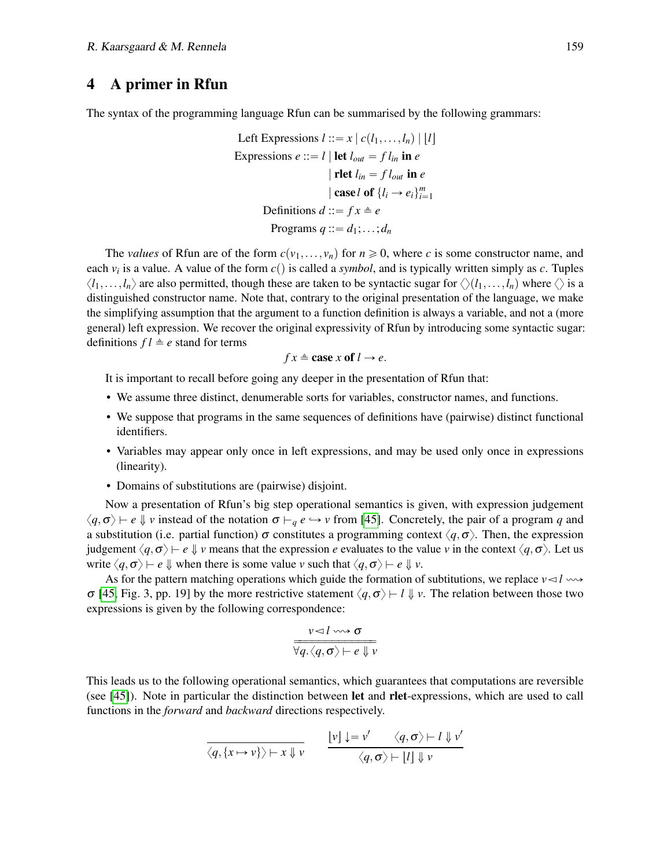## 4 A primer in Rfun

The syntax of the programming language Rfun can be summarised by the following grammars:

Left Expressions 
$$
l ::= x | c(l_1, ..., l_n) | [l]
$$
  
\nExpressions  $e ::= l | \text{let } l_{out} = fl_{in} \text{ in } e$   
\n $|\text{let } l_{in} = fl_{out} \text{ in } e$   
\n $|\text{ case } l \text{ of } \{l_i \rightarrow e_i\}_{i=1}^m$   
\nDefinitions  $d ::= fx \triangleq e$   
\nPrograms  $q ::= d_1; ...; d_n$ 

The *values* of Rfun are of the form  $c(v_1,..., v_n)$  for  $n \ge 0$ , where c is some constructor name, and each  $v_i$  is a value. A value of the form  $c()$  is called a *symbol*, and is typically written simply as  $c$ . Tuples  $\langle l_1,\ldots,l_n\rangle$  are also permitted, though these are taken to be syntactic sugar for  $\langle (l_1,\ldots,l_n)$  where  $\langle \rangle$  is a distinguished constructor name. Note that, contrary to the original presentation of the language, we make the simplifying assumption that the argument to a function definition is always a variable, and not a (more general) left expression. We recover the original expressivity of Rfun by introducing some syntactic sugar: definitions  $fl \triangleq e$  stand for terms

$$
fx \triangleq \cose x \text{ of } l \rightarrow e.
$$

It is important to recall before going any deeper in the presentation of Rfun that:

- We assume three distinct, denumerable sorts for variables, constructor names, and functions.
- We suppose that programs in the same sequences of definitions have (pairwise) distinct functional identifiers.
- Variables may appear only once in left expressions, and may be used only once in expressions (linearity).
- Domains of substitutions are (pairwise) disjoint.

Now a presentation of Rfun's big step operational semantics is given, with expression judgement  $\langle q, \sigma \rangle \mapsto e \Downarrow v$  instead of the notation  $\sigma \mapsto q$  *e*  $\rightarrow v$  from [\[45\]](#page-15-9). Concretely, the pair of a program *q* and a substitution (i.e. partial function)  $\sigma$  constitutes a programming context  $\langle q, \sigma \rangle$ . Then, the expression judgement  $\langle q, \sigma \rangle \vdash e \Downarrow v$  means that the expression *e* evaluates to the value *v* in the context  $\langle q, \sigma \rangle$ . Let us write  $\langle q, \sigma \rangle \vdash e \Downarrow$  when there is some value *v* such that  $\langle q, \sigma \rangle \vdash e \Downarrow v$ .

As for the pattern matching operations which guide the formation of subtitutions, we replace  $v \le l \rightarrow \infty$ σ [\[45,](#page-15-9) Fig. 3, pp. 19] by the more restrictive statement  $\langle q, \sigma \rangle \vdash l \Downarrow v$ . The relation between those two expressions is given by the following correspondence:

$$
\frac{v \lhd l \leadsto \sigma}{\forall q. \langle q, \sigma \rangle \vdash e \Downarrow v}
$$

This leads us to the following operational semantics, which guarantees that computations are reversible (see [\[45\]](#page-15-9)). Note in particular the distinction between let and rlet-expressions, which are used to call functions in the *forward* and *backward* directions respectively.

$$
\frac{\langle q, \{x \mapsto v\} \rangle \mapsto x \Downarrow v}{\langle q, \{\sigma \rangle \mapsto l \Downarrow v'}
$$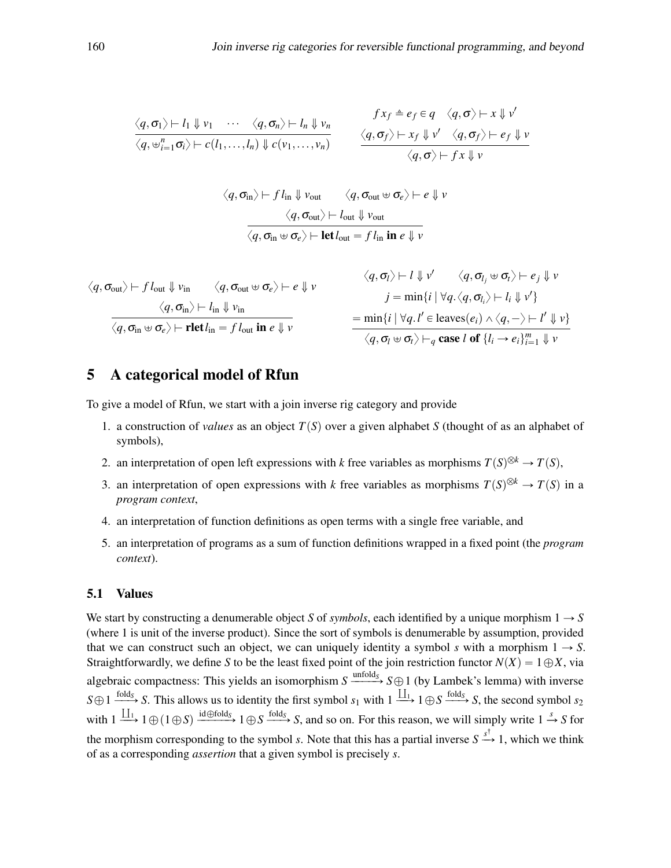$$
\frac{\langle q, \sigma_1 \rangle \vdash l_1 \Downarrow v_1 \cdots \langle q, \sigma_n \rangle \vdash l_n \Downarrow v_n}{\langle q, \psi_{i=1}^n \sigma_i \rangle \vdash c(l_1, \ldots, l_n) \Downarrow c(v_1, \ldots, v_n)} \qquad \frac{f x_f \triangleq e_f \in q \langle q, \sigma \rangle \vdash x \Downarrow v'}{\langle q, \sigma_f \rangle \vdash x_f \Downarrow v' \langle q, \sigma_f \rangle \vdash e_f \Downarrow v}
$$

$$
\langle q, \sigma_{\text{in}} \rangle \vdash f l_{\text{in}} \Downarrow v_{\text{out}} \qquad \langle q, \sigma_{\text{out}} \uplus \sigma_e \rangle \vdash e \Downarrow v
$$

$$
\langle q, \sigma_{\text{out}} \rangle \vdash l_{\text{out}} \Downarrow v_{\text{out}}
$$

$$
\overline{\langle q, \sigma_{\text{in}} \uplus \sigma_e \rangle \vdash \text{let} l_{\text{out}} = f l_{\text{in}} \text{ in } e \Downarrow v}
$$

$$
\langle q, \sigma_{\text{out}} \rangle \vdash f l_{\text{out}} \Downarrow v_{\text{in}} \quad \langle q, \sigma_{\text{out}} \uplus \sigma_e \rangle \vdash e \Downarrow v \quad \langle q, \sigma_l \rangle \vdash l \Downarrow v' \quad \langle q, \sigma_{l_j} \uplus \sigma_l \rangle \vdash e_j \Downarrow v
$$
\n
$$
\frac{\langle q, \sigma_{\text{in}} \rangle \vdash l_{\text{in}} \Downarrow v_{\text{in}}}{\langle q, \sigma_{\text{in}} \uplus \sigma_e \rangle \vdash \text{rlet} l_{\text{in}} = f l_{\text{out}} \text{ in } e \Downarrow v} \quad \frac{\langle q, \sigma_l \rangle \vdash l \Downarrow v' \quad \langle q, \sigma_{l_j} \uplus \sigma_l \rangle \vdash l_i \Downarrow v' \rangle}{\langle q, \sigma_l \uplus \sigma_l \rangle \vdash_q \text{case } l \text{ of } \{l_i \rightarrow e_l\}_{l=1}^{m} \Downarrow v}
$$

## <span id="page-8-0"></span>5 A categorical model of Rfun

To give a model of Rfun, we start with a join inverse rig category and provide

- 1. a construction of *values* as an object  $T(S)$  over a given alphabet *S* (thought of as an alphabet of symbols),
- 2. an interpretation of open left expressions with *k* free variables as morphisms  $T(S)^{\otimes k} \to T(S)$ ,
- 3. an interpretation of open expressions with *k* free variables as morphisms  $T(S)^{\otimes k} \to T(S)$  in a *program context*,
- 4. an interpretation of function definitions as open terms with a single free variable, and
- 5. an interpretation of programs as a sum of function definitions wrapped in a fixed point (the *program context*).

### 5.1 Values

We start by constructing a denumerable object *S* of *symbols*, each identified by a unique morphism  $1 \rightarrow S$ (where 1 is unit of the inverse product). Since the sort of symbols is denumerable by assumption, provided that we can construct such an object, we can uniquely identity a symbol *s* with a morphism  $1 \rightarrow S$ . Straightforwardly, we define *S* to be the least fixed point of the join restriction functor  $N(X) = 1 \oplus X$ , via algebraic compactness: This yields an isomorphism  $S \xrightarrow{\text{unfold}_S} S \oplus 1$  (by Lambek's lemma) with inverse  $S \oplus 1 \xrightarrow{\text{fold}_S} S$ . This allows us to identity the first symbol  $s_1$  with  $1 \xrightarrow{\coprod_1} 1 \oplus S \xrightarrow{\text{fold}_S} S$ , the second symbol  $s_2$ with  $1 \xrightarrow{\coprod_1} 1 \oplus (1 \oplus S) \xrightarrow{\text{id} \oplus \text{fold}_S} 1 \oplus S \xrightarrow{\text{fold}_S} S$ , and so on. For this reason, we will simply write  $1 \xrightarrow{s} S$  for the morphism corresponding to the symbol *s*. Note that this has a partial inverse  $S \stackrel{s^{\dagger}}{\rightarrow} 1$ , which we think of as a corresponding *assertion* that a given symbol is precisely *s*.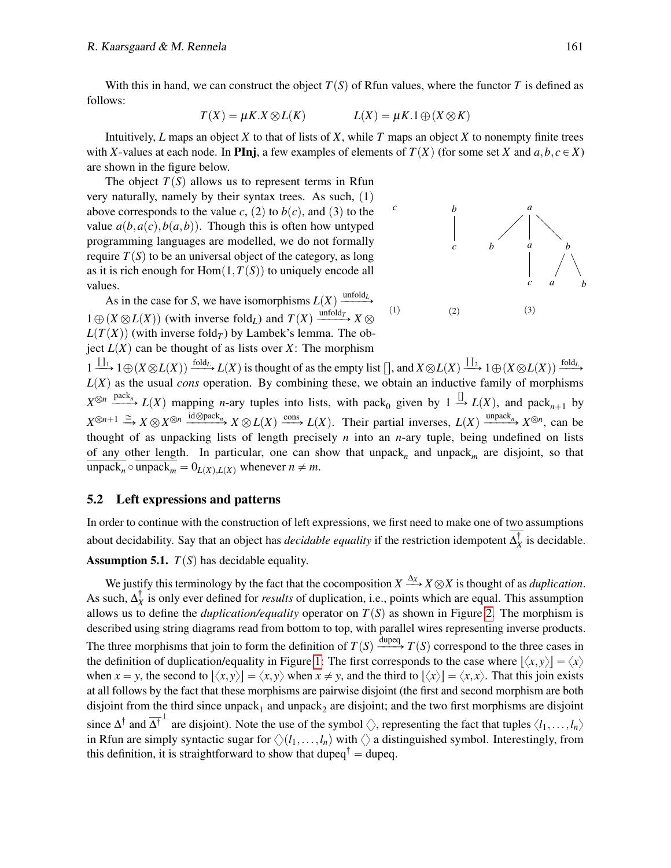With this in hand, we can construct the object  $T(S)$  of Rfun values, where the functor *T* is defined as follows:

$$
T(X) = \mu K.X \otimes L(K) \qquad L(X) = \mu K.1 \oplus (X \otimes K)
$$

Intuitively,  $L$  maps an object  $X$  to that of lists of  $X$ , while  $T$  maps an object  $X$  to nonempty finite trees with *X*-values at each node. In PInj, a few examples of elements of  $T(X)$  (for some set *X* and  $a, b, c \in X$ ) are shown in the figure below.

The object  $T(S)$  allows us to represent terms in Rfun very naturally, namely by their syntax trees. As such,  $(1)$ above corresponds to the value *c*, (2) to *b*(*c*), and (3) to the value  $a(b, a(c), b(a, b))$ . Though this is often how untyped programming languages are modelled, we do not formally require  $T(S)$  to be an universal object of the category, as long as it is rich enough for  $Hom(1, T(S))$  to uniquely encode all values.

As in the case for *S*, we have isomorphisms  $L(X) \xrightarrow{\text{unfold}_{L}}$  $1 \oplus (X \otimes L(X))$  (with inverse fold<sub>*L*</sub>) and  $T(X) \xrightarrow{\text{unfold}_{T}} X \otimes$  $L(T(X))$  (with inverse fold<sub>*T*</sub>) by Lambek's lemma. The object  $L(X)$  can be thought of as lists over *X*: The morphism



 $1 \xrightarrow{\coprod_1} 1 \oplus (X \otimes L(X)) \xrightarrow{\text{fold}_L} L(X)$  is thought of as the empty list  $[]$ , and  $X \otimes L(X) \xrightarrow{\coprod_2} 1 \oplus (X \otimes L(X)) \xrightarrow{\text{fold}_L} L(X)$  $L(X)$  as the usual *cons* operation. By combining these, we obtain an inductive family of morphisms  $X^{\otimes n}$   $\xrightarrow{\text{pack}_n}$   $L(X)$  mapping *n*-ary tuples into lists, with pack<sub>0</sub> given by  $1 \xrightarrow{\prod} L(X)$ , and pack<sub>*n*+1</sub> by  $X^{\otimes n+1} \xrightarrow{\cong} X \otimes X^{\otimes n} \xrightarrow{\mathrm{id} \otimes \mathrm{pack}_n} X \otimes L(X) \xrightarrow{\mathrm{cons}} L(X)$ . Their partial inverses,  $L(X) \xrightarrow{\mathrm{unpack}_n} X^{\otimes n}$ , can be thought of as unpacking lists of length precisely *n* into an *n*-ary tuple, being undefined on lists of any other length. In particular, one can show that unpack<sub>n</sub> and unpack<sub>m</sub> are disjoint, so that  $\text{unpack}_n \circ \text{unpack}_m = 0_{L(X), L(X)} \text{ whenever } n \neq m.$ 

#### 5.2 Left expressions and patterns

In order to continue with the construction of left expressions, we first need to make one of two assumptions about decidability. Say that an object has *decidable equality* if the restriction idempotent  $\Delta_X^{\dagger}$  is decidable. **Assumption 5.1.**  $T(S)$  has decidable equality.

We justify this terminology by the fact that the cocomposition  $X \xrightarrow{\Delta_X} X \otimes X$  is thought of as *duplication*. As such,  $\Delta_X^{\dagger}$  is only ever defined for *results* of duplication, i.e., points which are equal. This assumption allows us to define the *duplication/equality* operator on  $T(S)$  as shown in Figure [2.](#page-10-0) The morphism is described using string diagrams read from bottom to top, with parallel wires representing inverse products. The three morphisms that join to form the definition of  $T(S) \xrightarrow{\text{dupeq}} T(S)$  correspond to the three cases in the definition of duplication/equality in Figure [1:](#page-2-0) The first corresponds to the case where  $|\langle x, y \rangle| = \langle x \rangle$ when  $x = y$ , the second to  $\langle x, y \rangle = \langle x, y \rangle$  when  $x \neq y$ , and the third to  $\langle x \rangle = \langle x, x \rangle$ . That this join exists at all follows by the fact that these morphisms are pairwise disjoint (the first and second morphism are both disjoint from the third since unpack<sub>1</sub> and unpack<sub>2</sub> are disjoint; and the two first morphisms are disjoint since  $\Delta^{\dagger}$  and  $\overline{\Delta^{\dagger}}^{\perp}$  are disjoint). Note the use of the symbol  $\langle \rangle$ , representing the fact that tuples  $\langle l_1,\ldots,l_n\rangle$ in Rfun are simply syntactic sugar for  $\langle \rangle(l_1,\ldots,l_n)$  with  $\langle \rangle$  a distinguished symbol. Interestingly, from this definition, it is straightforward to show that dupeq<sup>†</sup> = dupeq.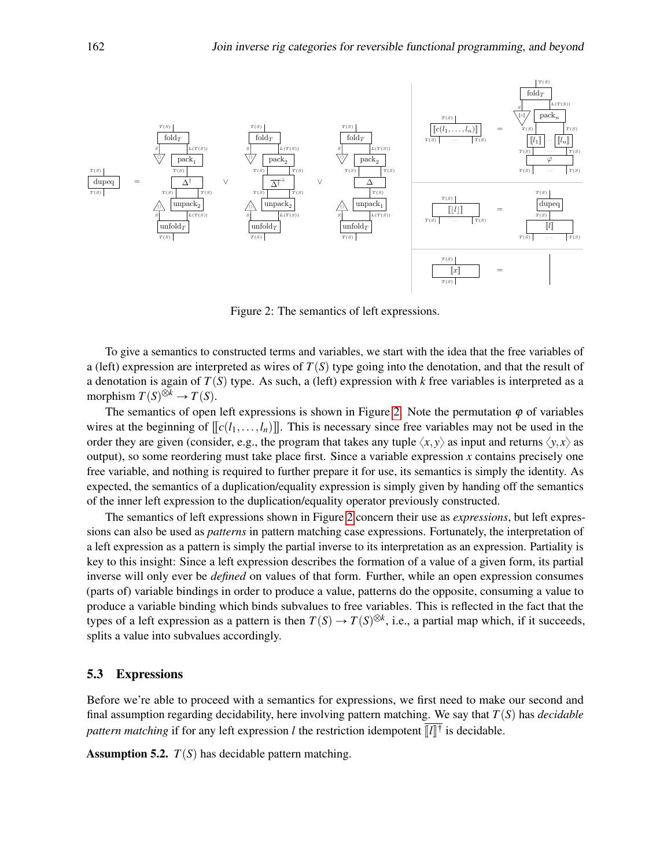<span id="page-10-0"></span>

Figure 2: The semantics of left expressions.

To give a semantics to constructed terms and variables, we start with the idea that the free variables of a (left) expression are interpreted as wires of  $T(S)$  type going into the denotation, and that the result of a denotation is again of  $T(S)$  type. As such, a (left) expression with  $k$  free variables is interpreted as a morphism  $T(S)^{\otimes k} \to T(S)$ .

The semantics of open left expressions is shown in Figure [2.](#page-10-0) Note the permutation  $\varphi$  of variables wires at the beginning of  $\left[\frac{c}{l_1},\ldots,\frac{l_n}{l_n}\right]$ . This is necessary since free variables may not be used in the order they are given (consider, e.g., the program that takes any tuple  $\langle x, y \rangle$  as input and returns  $\langle y, x \rangle$  as output), so some reordering must take place first. Since a variable expression *x* contains precisely one free variable, and nothing is required to further prepare it for use, its semantics is simply the identity. As expected, the semantics of a duplication/equality expression is simply given by handing off the semantics of the inner left expression to the duplication/equality operator previously constructed.

The semantics of left expressions shown in Figure [2](#page-10-0) concern their use as *expressions*, but left expressions can also be used as *patterns* in pattern matching case expressions. Fortunately, the interpretation of a left expression as a pattern is simply the partial inverse to its interpretation as an expression. Partiality is key to this insight: Since a left expression describes the formation of a value of a given form, its partial inverse will only ever be *defined* on values of that form. Further, while an open expression consumes (parts of) variable bindings in order to produce a value, patterns do the opposite, consuming a value to produce a variable binding which binds subvalues to free variables. This is reflected in the fact that the types of a left expression as a pattern is then  $T(S) \to T(S)^{\otimes k}$ , i.e., a partial map which, if it succeeds, splits a value into subvalues accordingly.

## 5.3 Expressions

Before we're able to proceed with a semantics for expressions, we first need to make our second and final assumption regarding decidability, here involving pattern matching. We say that  $T(S)$  has *decidable* pattern matching if for any left expression *l* the restriction idempotent  $\llbracket l \rrbracket^{\dagger}$  is decidable.

**Assumption 5.2.**  $T(S)$  has decidable pattern matching.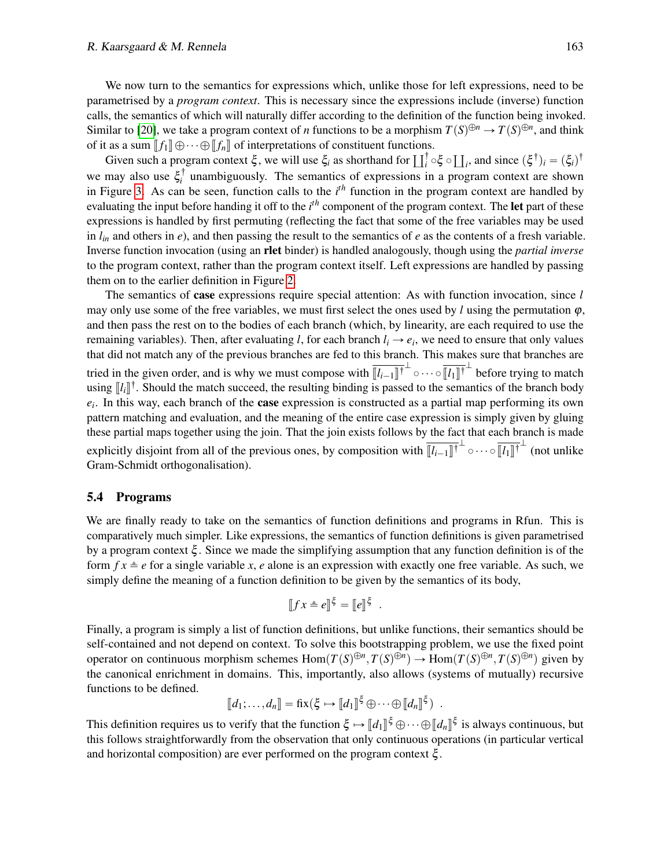#### R. Kaarsgaard & M. Rennela 163

We now turn to the semantics for expressions which, unlike those for left expressions, need to be parametrised by a *program context*. This is necessary since the expressions include (inverse) function calls, the semantics of which will naturally differ according to the definition of the function being invoked. Similar to [\[20\]](#page-14-14), we take a program context of *n* functions to be a morphism  $T(S)^{\oplus n} \to T(S)^{\oplus n}$ , and think of it as a sum  $\llbracket f_1 \rrbracket \oplus \cdots \oplus \llbracket f_n \rrbracket$  of interpretations of constituent functions.

Given such a program context  $\xi$ , we will use  $\xi_i$  as shorthand for  $\prod_i^{\dagger} \circ \xi \circ \prod_i$ , and since  $(\xi^{\dagger})_i = (\xi_i)^{\dagger}$ we may also use  $\xi_i^{\dagger}$  unambiguously. The semantics of expressions in a program context are shown *i* in Figure [3.](#page-12-1) As can be seen, function calls to the *i th* function in the program context are handled by evaluating the input before handing it off to the *i*<sup>th</sup> component of the program context. The let part of these expressions is handled by first permuting (reflecting the fact that some of the free variables may be used in  $l_{in}$  and others in *e*), and then passing the result to the semantics of *e* as the contents of a fresh variable. Inverse function invocation (using an rlet binder) is handled analogously, though using the *partial inverse* to the program context, rather than the program context itself. Left expressions are handled by passing them on to the earlier definition in Figure [2.](#page-10-0)

The semantics of case expressions require special attention: As with function invocation, since *l* may only use some of the free variables, we must first select the ones used by *l* using the permutation  $\varphi$ , and then pass the rest on to the bodies of each branch (which, by linearity, are each required to use the remaining variables). Then, after evaluating *l*, for each branch  $l_i \rightarrow e_i$ , we need to ensure that only values that did not match any of the previous branches are fed to this branch. This makes sure that branches are tried in the given order, and is why we must compose with  $\overline{[l_{i-1}]}^{\dagger}$   $\overline{[l_{i-1}]}^{\dagger}$  before trying to match using  $\llbracket l_i \rrbracket^{\dagger}$ . Should the match succeed, the resulting binding is passed to the semantics of the branch body *ei* . In this way, each branch of the case expression is constructed as a partial map performing its own pattern matching and evaluation, and the meaning of the entire case expression is simply given by gluing these partial maps together using the join. That the join exists follows by the fact that each branch is made explicitly disjoint from all of the previous ones, by composition with  $\overline{[l_{i-1}]^{\dagger}}^{\perp} \circ \cdots \circ \overline{[l_1]}^{\dagger}$  (not unlike Gram-Schmidt orthogonalisation).

### 5.4 Programs

We are finally ready to take on the semantics of function definitions and programs in Rfun. This is comparatively much simpler. Like expressions, the semantics of function definitions is given parametrised by a program context  $\xi$ . Since we made the simplifying assumption that any function definition is of the form  $f x \triangleq e$  for a single variable *x*, *e* alone is an expression with exactly one free variable. As such, we simply define the meaning of a function definition to be given by the semantics of its body,

$$
[[fx \triangleq e]]^{\xi} = [[e]]^{\xi}
$$

.

Finally, a program is simply a list of function definitions, but unlike functions, their semantics should be self-contained and not depend on context. To solve this bootstrapping problem, we use the fixed point operator on continuous morphism schemes  $Hom(T(S)^{\oplus n}, T(S)^{\oplus n}) \to Hom(T(S)^{\oplus n}, T(S)^{\oplus n})$  given by the canonical enrichment in domains. This, importantly, also allows (systems of mutually) recursive functions to be defined.

$$
[\![d_1;\ldots,d_n]\!]=\mathrm{fix}(\xi\mapsto [\![d_1]\!]^\xi\oplus\cdots\oplus[\![d_n]\!]^\xi) .
$$

This definition requires us to verify that the function  $\xi \mapsto [d_1] \xi \oplus \cdots \oplus [d_n] \xi$  is always continuous, but<br>this follows straightforwardly from the observation that only continuous operations (in perticular vertice) this follows straightforwardly from the observation that only continuous operations (in particular vertical and horizontal composition) are ever performed on the program context  $\xi$ .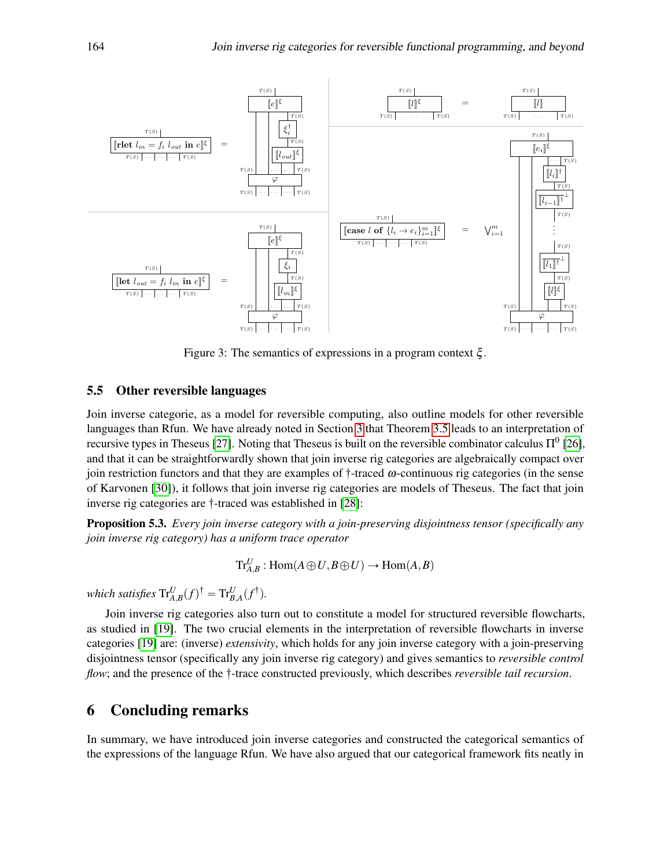<span id="page-12-1"></span>

Figure 3: The semantics of expressions in a program context ξ .

#### 5.5 Other reversible languages

Join inverse categorie, as a model for reversible computing, also outline models for other reversible languages than Rfun. We have already noted in Section [3](#page-5-0) that Theorem [3.5](#page-6-0) leads to an interpretation of recursive types in Theseus [\[27\]](#page-14-3). Noting that Theseus is built on the reversible combinator calculus  $\Pi^0$  [\[26\]](#page-14-15), and that it can be straightforwardly shown that join inverse rig categories are algebraically compact over join restriction functors and that they are examples of  $\dagger$ -traced  $\omega$ -continuous rig categories (in the sense of Karvonen [\[30\]](#page-14-16)), it follows that join inverse rig categories are models of Theseus. The fact that join inverse rig categories are  $\dagger$ -traced was established in [\[28\]](#page-14-11):

Proposition 5.3. *Every join inverse category with a join-preserving disjointness tensor (specifically any join inverse rig category) has a uniform trace operator*

$$
\mathrm{Tr}^U_{A,B}:\mathrm{Hom}(A\oplus U,B\oplus U)\to \mathrm{Hom}(A,B)
$$

*which satisfies*  $\text{Tr}_{A,B}^U(f)^\dagger = \text{Tr}_{B,A}^U(f^\dagger).$ 

Join inverse rig categories also turn out to constitute a model for structured reversible flowcharts, as studied in [\[19\]](#page-14-17). The two crucial elements in the interpretation of reversible flowcharts in inverse categories [\[19\]](#page-14-17) are: (inverse) *extensivity*, which holds for any join inverse category with a join-preserving disjointness tensor (specifically any join inverse rig category) and gives semantics to *reversible control flow*; and the presence of the  $\dagger$ -trace constructed previously, which describes *reversible tail recursion*.

## <span id="page-12-0"></span>6 Concluding remarks

In summary, we have introduced join inverse categories and constructed the categorical semantics of the expressions of the language Rfun. We have also argued that our categorical framework fits neatly in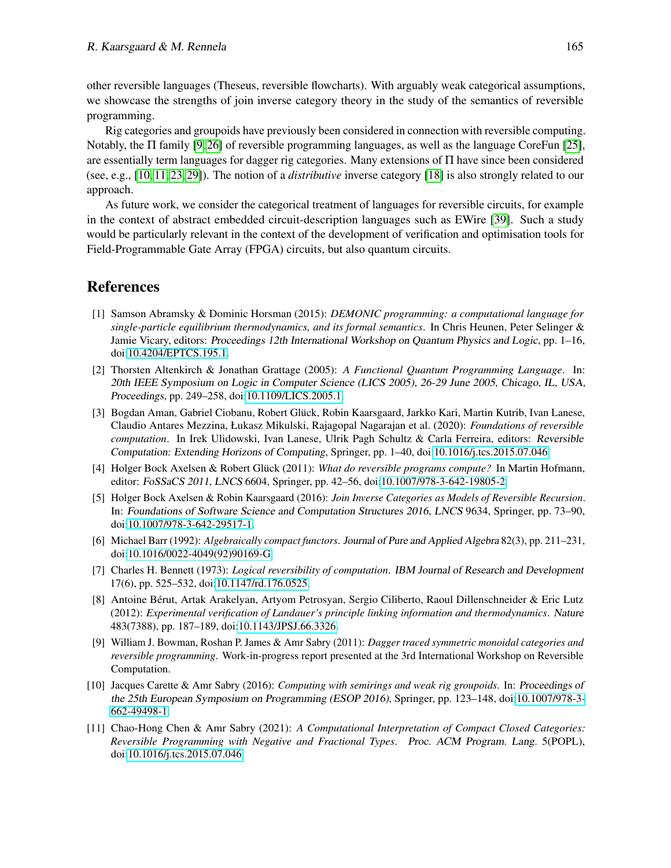other reversible languages (Theseus, reversible flowcharts). With arguably weak categorical assumptions, we showcase the strengths of join inverse category theory in the study of the semantics of reversible programming.

Rig categories and groupoids have previously been considered in connection with reversible computing. Notably, the Π family [\[9,](#page-13-8) [26\]](#page-14-15) of reversible programming languages, as well as the language CoreFun [\[25\]](#page-14-18), are essentially term languages for dagger rig categories. Many extensions of Π have since been considered (see, e.g., [\[10,](#page-13-9) [11,](#page-13-10) [23,](#page-14-19) [29\]](#page-14-20)). The notion of a *distributive* inverse category [\[18\]](#page-14-9) is also strongly related to our approach.

As future work, we consider the categorical treatment of languages for reversible circuits, for example in the context of abstract embedded circuit-description languages such as EWire [\[39\]](#page-15-14). Such a study would be particularly relevant in the context of the development of verification and optimisation tools for Field-Programmable Gate Array (FPGA) circuits, but also quantum circuits.

## References

- <span id="page-13-0"></span>[1] Samson Abramsky & Dominic Horsman (2015): *DEMONIC programming: a computational language for single-particle equilibrium thermodynamics, and its formal semantics*. In Chris Heunen, Peter Selinger & Jamie Vicary, editors: Proceedings 12th International Workshop on Quantum Physics and Logic, pp. 1–16, doi[:10.4204/EPTCS.195.1.](http://dx.doi.org/10.4204/EPTCS.195.1)
- <span id="page-13-2"></span>[2] Thorsten Altenkirch & Jonathan Grattage (2005): *A Functional Quantum Programming Language*. In: 20th IEEE Symposium on Logic in Computer Science (LICS 2005), 26-29 June 2005, Chicago, IL, USA, Proceedings, pp. 249–258, doi[:10.1109/LICS.2005.1.](http://dx.doi.org/10.1109/LICS.2005.1)
- <span id="page-13-5"></span>[3] Bogdan Aman, Gabriel Ciobanu, Robert Gluck, Robin Kaarsgaard, Jarkko Kari, Martin Kutrib, Ivan Lanese, ¨ Claudio Antares Mezzina, Łukasz Mikulski, Rajagopal Nagarajan et al. (2020): *Foundations of reversible computation*. In Irek Ulidowski, Ivan Lanese, Ulrik Pagh Schultz & Carla Ferreira, editors: Reversible Computation: Extending Horizons of Computing, Springer, pp. 1–40, doi[:10.1016/j.tcs.2015.07.046.](http://dx.doi.org/10.1016/j.tcs.2015.07.046)
- <span id="page-13-3"></span>[4] Holger Bock Axelsen & Robert Glück (2011): *What do reversible programs compute?* In Martin Hofmann, editor: FoSSaCS 2011, LNCS 6604, Springer, pp. 42–56, doi[:10.1007/978-3-642-19805-2.](http://dx.doi.org/10.1007/978-3-642-19805-2)
- <span id="page-13-6"></span>[5] Holger Bock Axelsen & Robin Kaarsgaard (2016): *Join Inverse Categories as Models of Reversible Recursion*. In: Foundations of Software Science and Computation Structures 2016, LNCS 9634, Springer, pp. 73–90, doi[:10.1007/978-3-642-29517-1.](http://dx.doi.org/10.1007/978-3-642-29517-1)
- <span id="page-13-7"></span>[6] Michael Barr (1992): *Algebraically compact functors*. Journal of Pure and Applied Algebra 82(3), pp. 211–231, doi[:10.1016/0022-4049\(92\)90169-G.](http://dx.doi.org/10.1016/0022-4049(92)90169-G)
- <span id="page-13-4"></span>[7] Charles H. Bennett (1973): *Logical reversibility of computation*. IBM Journal of Research and Development 17(6), pp. 525–532, doi[:10.1147/rd.176.0525.](http://dx.doi.org/10.1147/rd.176.0525)
- <span id="page-13-1"></span>[8] Antoine Bérut, Artak Arakelyan, Artyom Petrosyan, Sergio Ciliberto, Raoul Dillenschneider & Eric Lutz (2012): *Experimental verification of Landauer's principle linking information and thermodynamics*. Nature 483(7388), pp. 187–189, doi[:10.1143/JPSJ.66.3326.](http://dx.doi.org/10.1143/JPSJ.66.3326)
- <span id="page-13-8"></span>[9] William J. Bowman, Roshan P. James & Amr Sabry (2011): *Dagger traced symmetric monoidal categories and reversible programming*. Work-in-progress report presented at the 3rd International Workshop on Reversible Computation.
- <span id="page-13-9"></span>[10] Jacques Carette & Amr Sabry (2016): *Computing with semirings and weak rig groupoids*. In: Proceedings of the 25th European Symposium on Programming (ESOP 2016), Springer, pp. 123–148, doi[:10.1007/978-3-](http://dx.doi.org/10.1007/978-3-662-49498-1) [662-49498-1.](http://dx.doi.org/10.1007/978-3-662-49498-1)
- <span id="page-13-10"></span>[11] Chao-Hong Chen & Amr Sabry (2021): *A Computational Interpretation of Compact Closed Categories: Reversible Programming with Negative and Fractional Types*. Proc. ACM Program. Lang. 5(POPL), doi[:10.1016/j.tcs.2015.07.046.](http://dx.doi.org/10.1016/j.tcs.2015.07.046)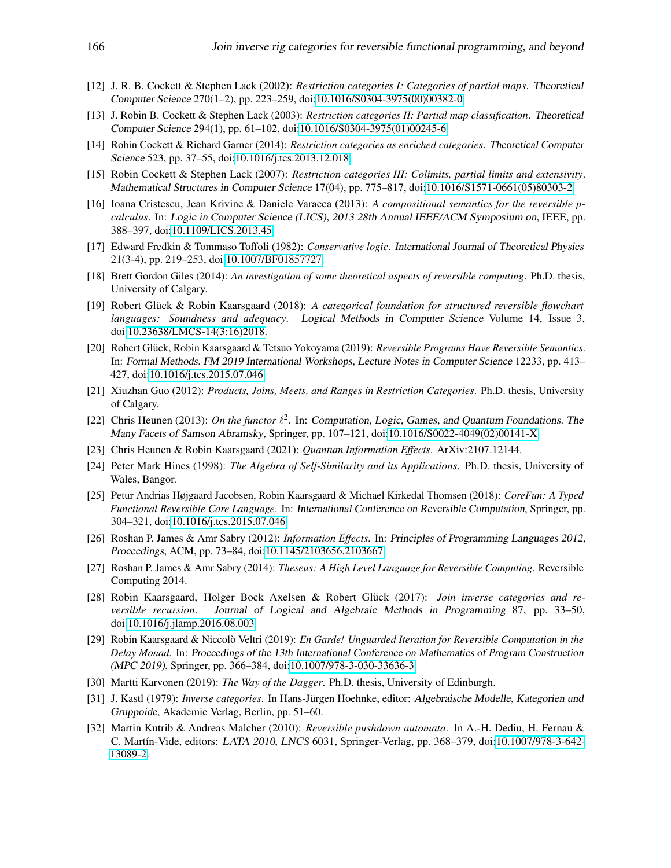- <span id="page-14-4"></span>[12] J. R. B. Cockett & Stephen Lack (2002): *Restriction categories I: Categories of partial maps*. Theoretical Computer Science 270(1–2), pp. 223–259, doi[:10.1016/S0304-3975\(00\)00382-0.](http://dx.doi.org/10.1016/S0304-3975(00)00382-0)
- <span id="page-14-5"></span>[13] J. Robin B. Cockett & Stephen Lack (2003): *Restriction categories II: Partial map classification*. Theoretical Computer Science 294(1), pp. 61–102, doi[:10.1016/S0304-3975\(01\)00245-6.](http://dx.doi.org/10.1016/S0304-3975(01)00245-6)
- <span id="page-14-13"></span>[14] Robin Cockett & Richard Garner (2014): *Restriction categories as enriched categories*. Theoretical Computer Science 523, pp. 37–55, doi[:10.1016/j.tcs.2013.12.018.](http://dx.doi.org/10.1016/j.tcs.2013.12.018)
- <span id="page-14-6"></span>[15] Robin Cockett & Stephen Lack (2007): *Restriction categories III: Colimits, partial limits and extensivity*. Mathematical Structures in Computer Science 17(04), pp. 775–817, doi[:10.1016/S1571-0661\(05\)80303-2.](http://dx.doi.org/10.1016/S1571-0661(05)80303-2)
- <span id="page-14-2"></span>[16] Ioana Cristescu, Jean Krivine & Daniele Varacca (2013): *A compositional semantics for the reversible pcalculus*. In: Logic in Computer Science (LICS), 2013 28th Annual IEEE/ACM Symposium on, IEEE, pp. 388–397, doi[:10.1109/LICS.2013.45.](http://dx.doi.org/10.1109/LICS.2013.45)
- <span id="page-14-0"></span>[17] Edward Fredkin & Tommaso Toffoli (1982): *Conservative logic*. International Journal of Theoretical Physics 21(3-4), pp. 219–253, doi[:10.1007/BF01857727.](http://dx.doi.org/10.1007/BF01857727)
- <span id="page-14-9"></span>[18] Brett Gordon Giles (2014): *An investigation of some theoretical aspects of reversible computing*. Ph.D. thesis, University of Calgary.
- <span id="page-14-17"></span>[19] Robert Glück & Robin Kaarsgaard (2018): A categorical foundation for structured reversible flowchart *languages: Soundness and adequacy*. Logical Methods in Computer Science Volume 14, Issue 3, doi[:10.23638/LMCS-14\(3:16\)2018.](http://dx.doi.org/10.23638/LMCS-14(3:16)2018)
- <span id="page-14-14"></span>[20] Robert Glück, Robin Kaarsgaard & Tetsuo Yokoyama (2019): *Reversible Programs Have Reversible Semantics*. In: Formal Methods. FM 2019 International Workshops, Lecture Notes in Computer Science 12233, pp. 413– 427, doi[:10.1016/j.tcs.2015.07.046.](http://dx.doi.org/10.1016/j.tcs.2015.07.046)
- <span id="page-14-10"></span>[21] Xiuzhan Guo (2012): *Products, Joins, Meets, and Ranges in Restriction Categories*. Ph.D. thesis, University of Calgary.
- <span id="page-14-12"></span>[22] Chris Heunen (2013): On the functor  $l^2$ . In: Computation, Logic, Games, and Quantum Foundations. The Many Facets of Samson Abramsky, Springer, pp. 107–121, doi[:10.1016/S0022-4049\(02\)00141-X.](http://dx.doi.org/10.1016/S0022-4049(02)00141-X)
- <span id="page-14-19"></span>[23] Chris Heunen & Robin Kaarsgaard (2021): *Quantum Information Effects*. ArXiv:2107.12144.
- <span id="page-14-7"></span>[24] Peter Mark Hines (1998): *The Algebra of Self-Similarity and its Applications*. Ph.D. thesis, University of Wales, Bangor.
- <span id="page-14-18"></span>[25] Petur Andrias Højgaard Jacobsen, Robin Kaarsgaard & Michael Kirkedal Thomsen (2018): *CoreFun: A Typed Functional Reversible Core Language*. In: International Conference on Reversible Computation, Springer, pp. 304–321, doi[:10.1016/j.tcs.2015.07.046.](http://dx.doi.org/10.1016/j.tcs.2015.07.046)
- <span id="page-14-15"></span>[26] Roshan P. James & Amr Sabry (2012): *Information Effects*. In: Principles of Programming Languages 2012, Proceedings, ACM, pp. 73–84, doi[:10.1145/2103656.2103667.](http://dx.doi.org/10.1145/2103656.2103667)
- <span id="page-14-3"></span>[27] Roshan P. James & Amr Sabry (2014): *Theseus: A High Level Language for Reversible Computing*. Reversible Computing 2014.
- <span id="page-14-11"></span>[28] Robin Kaarsgaard, Holger Bock Axelsen & Robert Glück (2017): *Join inverse categories and reversible recursion*. Journal of Logical and Algebraic Methods in Programming 87, pp. 33–50, doi[:10.1016/j.jlamp.2016.08.003.](http://dx.doi.org/10.1016/j.jlamp.2016.08.003)
- <span id="page-14-20"></span>[29] Robin Kaarsgaard & Niccolò Veltri (2019): *En Garde! Unguarded Iteration for Reversible Computation in the Delay Monad*. In: Proceedings of the 13th International Conference on Mathematics of Program Construction (MPC 2019), Springer, pp. 366–384, doi[:10.1007/978-3-030-33636-3.](http://dx.doi.org/10.1007/978-3-030-33636-3)
- <span id="page-14-16"></span>[30] Martti Karvonen (2019): *The Way of the Dagger*. Ph.D. thesis, University of Edinburgh.
- <span id="page-14-8"></span>[31] J. Kastl (1979): *Inverse categories*. In Hans-Jürgen Hoehnke, editor: Algebraische Modelle, Kategorien und Gruppoide, Akademie Verlag, Berlin, pp. 51–60.
- <span id="page-14-1"></span>[32] Martin Kutrib & Andreas Malcher (2010): *Reversible pushdown automata*. In A.-H. Dediu, H. Fernau & C. Martín-Vide, editors: LATA 2010, LNCS 6031, Springer-Verlag, pp. 368-379, doi[:10.1007/978-3-642-](http://dx.doi.org/10.1007/978-3-642-13089-2) [13089-2.](http://dx.doi.org/10.1007/978-3-642-13089-2)